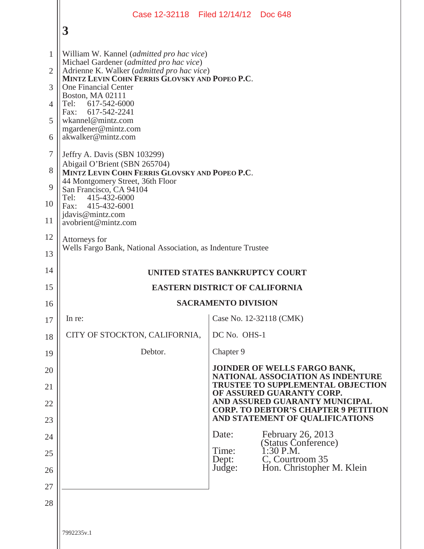|                |                                                                                                                                          | Case 12-32118 Filed 12/14/12 Doc 648                                          |
|----------------|------------------------------------------------------------------------------------------------------------------------------------------|-------------------------------------------------------------------------------|
|                | 3                                                                                                                                        |                                                                               |
| 1              | William W. Kannel (admitted pro hac vice)                                                                                                |                                                                               |
| $\overline{2}$ | Michael Gardener (admitted pro hac vice)<br>Adrienne K. Walker (admitted pro hac vice)<br>MINTZ LEVIN COHN FERRIS GLOVSKY AND POPEO P.C. |                                                                               |
| 3              | <b>One Financial Center</b><br>Boston, MA 02111                                                                                          |                                                                               |
| $\overline{4}$ | Tel: 617-542-6000<br>617-542-2241<br>Fax:                                                                                                |                                                                               |
| 5              | wkannel@mintz.com<br>mgardener@mintz.com                                                                                                 |                                                                               |
| 6              | akwalker@mintz.com                                                                                                                       |                                                                               |
| 7              | Jeffry A. Davis (SBN 103299)                                                                                                             |                                                                               |
| 8              | Abigail O'Brient (SBN 265704)<br>MINTZ LEVIN COHN FERRIS GLOVSKY AND POPEO P.C.                                                          |                                                                               |
| 9              | 44 Montgomery Street, 36th Floor<br>San Francisco, CA 94104<br>Tel:<br>415-432-6000                                                      |                                                                               |
| 10             | 415-432-6001<br>Fax:                                                                                                                     |                                                                               |
| 11             | jdavis@mintz.com<br>avobrient@mintz.com                                                                                                  |                                                                               |
| 12             | Attorneys for<br>Wells Fargo Bank, National Association, as Indenture Trustee                                                            |                                                                               |
| 13             |                                                                                                                                          |                                                                               |
| 14             |                                                                                                                                          | UNITED STATES BANKRUPTCY COURT                                                |
| 15             |                                                                                                                                          | <b>EASTERN DISTRICT OF CALIFORNIA</b>                                         |
| 16             |                                                                                                                                          | <b>SACRAMENTO DIVISION</b>                                                    |
| 17             | In re:                                                                                                                                   | Case No. 12-32118 (CMK)                                                       |
| 18             | CITY OF STOCKTON, CALIFORNIA,                                                                                                            | DC No. OHS-1                                                                  |
| 19             | Debtor.                                                                                                                                  | Chapter 9                                                                     |
| 20             |                                                                                                                                          | JOINDER OF WELLS FARGO BANK,<br><b>NATIONAL ASSOCIATION AS INDENTURE</b>      |
| 21             |                                                                                                                                          | <b>TRUSTEE TO SUPPLEMENTAL OBJECTION</b><br>OF ASSURED GUARANTY CORP.         |
| 22             |                                                                                                                                          | AND ASSURED GUARANTY MUNICIPAL<br><b>CORP. TO DEBTOR'S CHAPTER 9 PETITION</b> |
| 23             |                                                                                                                                          | AND STATEMENT OF QUALIFICATIONS                                               |
| 24             |                                                                                                                                          | February 26, 2013<br>Date:<br>(Status Conference)<br>Time:<br>$1:30$ P.M.     |
| 25<br>26       |                                                                                                                                          | C, Courtroom 35<br>Dept:<br>Hon. Christopher M. Klein<br>Judge:               |
| 27             |                                                                                                                                          |                                                                               |
| 28             |                                                                                                                                          |                                                                               |
|                |                                                                                                                                          |                                                                               |
|                | 7992235v.1                                                                                                                               |                                                                               |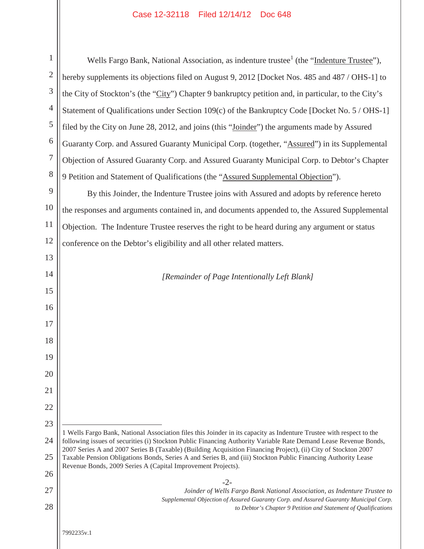## Case 12-32118 Filed 12/14/12 Doc 648

| $\mathbf{1}$   | Wells Fargo Bank, National Association, as indenture trustee <sup>1</sup> (the "Indenture Trustee"),                                                                                                                               |
|----------------|------------------------------------------------------------------------------------------------------------------------------------------------------------------------------------------------------------------------------------|
| $\mathbf{2}$   | hereby supplements its objections filed on August 9, 2012 [Docket Nos. 485 and 487 / OHS-1] to                                                                                                                                     |
| 3              | the City of Stockton's (the "City") Chapter 9 bankruptcy petition and, in particular, to the City's                                                                                                                                |
| $\overline{4}$ | Statement of Qualifications under Section 109(c) of the Bankruptcy Code [Docket No. 5 / OHS-1]                                                                                                                                     |
| 5              | filed by the City on June 28, 2012, and joins (this "Joinder") the arguments made by Assured                                                                                                                                       |
| 6              | Guaranty Corp. and Assured Guaranty Municipal Corp. (together, "Assured") in its Supplemental                                                                                                                                      |
| 7              | Objection of Assured Guaranty Corp. and Assured Guaranty Municipal Corp. to Debtor's Chapter                                                                                                                                       |
| 8              | 9 Petition and Statement of Qualifications (the "Assured Supplemental Objection").                                                                                                                                                 |
| 9              | By this Joinder, the Indenture Trustee joins with Assured and adopts by reference hereto                                                                                                                                           |
| 10             | the responses and arguments contained in, and documents appended to, the Assured Supplemental                                                                                                                                      |
| 11             | Objection. The Indenture Trustee reserves the right to be heard during any argument or status                                                                                                                                      |
| 12             | conference on the Debtor's eligibility and all other related matters.                                                                                                                                                              |
| 13             |                                                                                                                                                                                                                                    |
| 14             | [Remainder of Page Intentionally Left Blank]                                                                                                                                                                                       |
| 15             |                                                                                                                                                                                                                                    |
| 16             |                                                                                                                                                                                                                                    |
| 17             |                                                                                                                                                                                                                                    |
| 18             |                                                                                                                                                                                                                                    |
| 19             |                                                                                                                                                                                                                                    |
| 20             |                                                                                                                                                                                                                                    |
| 21             |                                                                                                                                                                                                                                    |
| 22             |                                                                                                                                                                                                                                    |
| 23             | 1 Wells Fargo Bank, National Association files this Joinder in its capacity as Indenture Trustee with respect to the                                                                                                               |
| 24             | following issues of securities (i) Stockton Public Financing Authority Variable Rate Demand Lease Revenue Bonds,<br>2007 Series A and 2007 Series B (Taxable) (Building Acquisition Financing Project), (ii) City of Stockton 2007 |
| 25             | Taxable Pension Obligations Bonds, Series A and Series B, and (iii) Stockton Public Financing Authority Lease<br>Revenue Bonds, 2009 Series A (Capital Improvement Projects).                                                      |
| 26             | $-2-$                                                                                                                                                                                                                              |
| 27<br>28       | Joinder of Wells Fargo Bank National Association, as Indenture Trustee to<br>Supplemental Objection of Assured Guaranty Corp. and Assured Guaranty Municipal Corp.                                                                 |
|                | to Debtor's Chapter 9 Petition and Statement of Qualifications                                                                                                                                                                     |
|                | 7992235v.1                                                                                                                                                                                                                         |
|                |                                                                                                                                                                                                                                    |